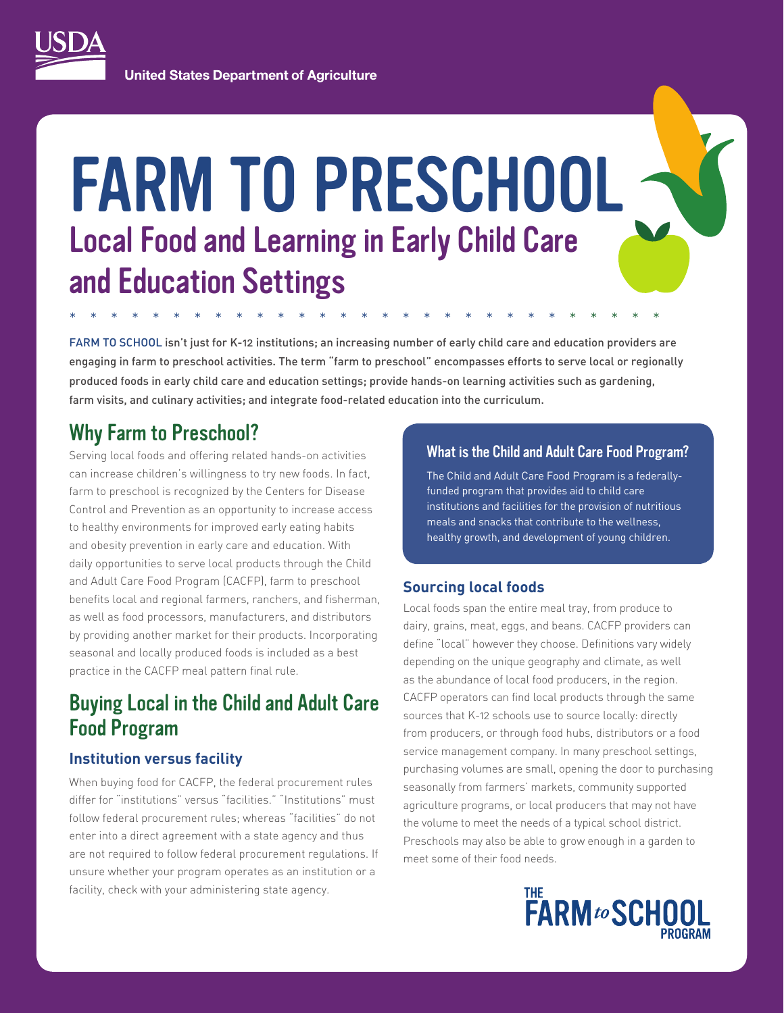

**United States Department of Agriculture** 

# FARM TO PRESCHOOL Local Food and Learning in Early Child Care and Education Settings

FARM TO SCHOOL isn't just for K-12 institutions; an increasing number of early child care and education providers are engaging in farm to preschool activities. The term "farm to preschool" encompasses efforts to serve local or regionally produced foods in early child care and education settings; provide hands-on learning activities such as gardening, farm visits, and culinary activities; and integrate food-related education into the curriculum.

\*\*\*\*\*\*\*\*\*\*\*\*\*\*\*\*\*\*\*\*\*\*\*\* \*\*\*\*\*

## Why Farm to Preschool?

Serving local foods and offering related hands-on activities can increase children's willingness to try new foods. In fact, farm to preschool is recognized by the Centers for Disease Control and Prevention as an opportunity to increase access to healthy environments for improved early eating habits and obesity prevention in early care and education. With daily opportunities to serve local products through the Child and Adult Care Food Program (CACFP), farm to preschool benefits local and regional farmers, ranchers, and fisherman, as well as food processors, manufacturers, and distributors by providing another market for their products. Incorporating seasonal and locally produced foods is included as a best practice in the CACFP meal pattern final rule.

## Buying Local in the Child and Adult Care Food Program

## **Institution versus facility**

When buying food for CACFP, the federal procurement rules differ for "institutions" versus "facilities." "Institutions" must follow federal procurement rules; whereas "facilities" do not enter into a direct agreement with a state agency and thus are not required to follow federal procurement regulations. If unsure whether your program operates as an institution or a facility, check with your administering state agency.

### What is the Child and Adult Care Food Program?

The Child and Adult Care Food Program is a federallyfunded program that provides aid to child care institutions and facilities for the provision of nutritious meals and snacks that contribute to the wellness, healthy growth, and development of young children.

## **Sourcing local foods**

Local foods span the entire meal tray, from produce to dairy, grains, meat, eggs, and beans. CACFP providers can define "local" however they choose. Definitions vary widely depending on the unique geography and climate, as well as the abundance of local food producers, in the region. CACFP operators can find local products through the same sources that K-12 schools use to source locally: directly from producers, or through food hubs, distributors or a food service management company. In many preschool settings, purchasing volumes are small, opening the door to purchasing seasonally from farmers' markets, community supported agriculture programs, or local producers that may not have the volume to meet the needs of a typical school district. Preschools may also be able to grow enough in a garden to meet some of their food needs.